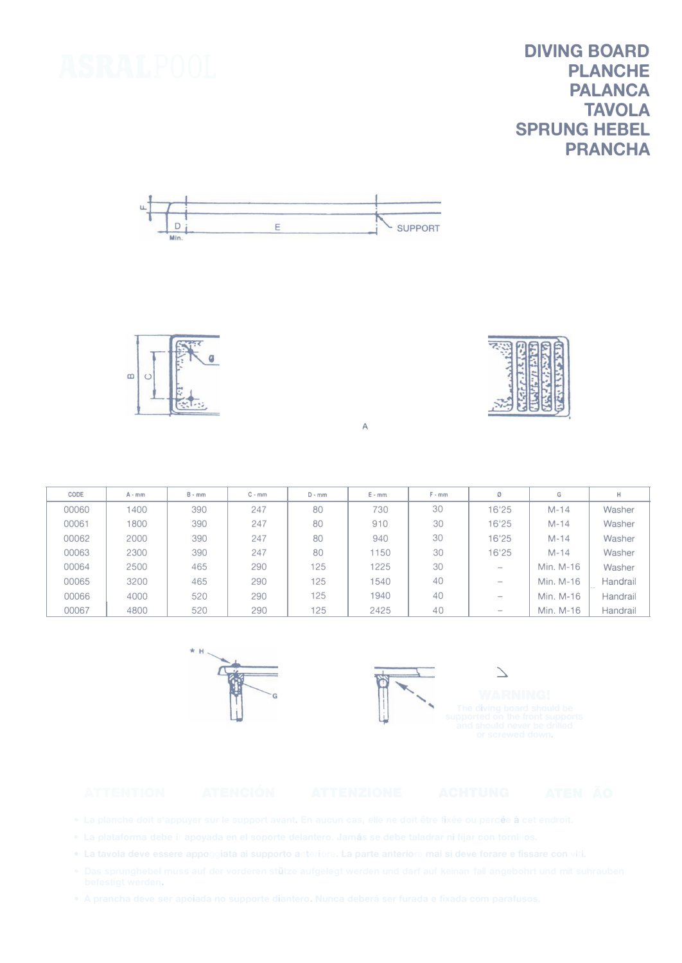## **DIVING BOARD PLANCHE PALANCA TAVOLA SPRUNG HEBEL PRANCHA**





| $\infty$ | $\circ$ |  |
|----------|---------|--|
|          |         |  |

| CODE  | $A - mm$ | $B - mm$ | $C - mm$ | $D - mm$ | $E - mm$ | $F - mm$ | ø     | G         | н        |
|-------|----------|----------|----------|----------|----------|----------|-------|-----------|----------|
| 00060 | 1400     | 390      | 247      | 80       | 730      | 30       | 16'25 | $M-14$    | Washer   |
| 00061 | 1800     | 390      | 247      | 80       | 910      | 30       | 16'25 | $M-14$    | Washer   |
| 00062 | 2000     | 390      | 247      | 80       | 940      | 30       | 16'25 | $M-14$    | Washer   |
| 00063 | 2300     | 390      | 247      | 80       | 1150     | 30       | 16'25 | $M-14$    | Washer   |
| 00064 | 2500     | 465      | 290      | 125      | 1225     | 30       |       | Min. M-16 | Washer   |
| 00065 | 3200     | 465      | 290      | 125      | 1540     | 40       | -     | Min. M-16 | Handrail |
| 00066 | 4000     | 520      | 290      | 125      | 1940     | 40       |       | Min. M-16 | Handrail |
| 00067 | 4800     | 520      | 290      | 125      | 2425     | 40       |       | Min. M-16 | Handrail |

**A** 





 $\geq$ 



- 
- 
- 
-